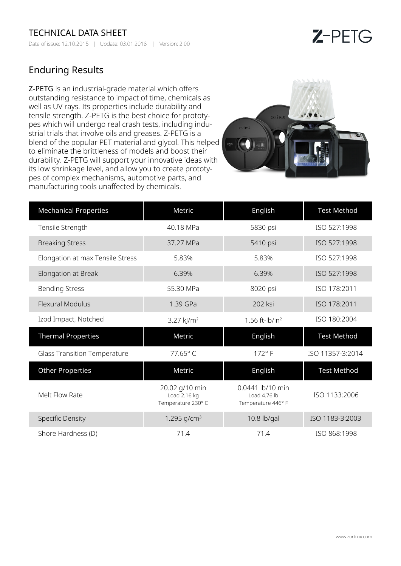## TECHNICAL DATA SHEET

Date of issue: 12.10.2015 | Update: 03.01.2018 | Version: 2.00

## $Z$ -PETG

## Enduring Results

Z-PETG is an industrial-grade material which offers outstanding resistance to impact of time, chemicals as well as UV rays. Its properties include durability and tensile strength. Z-PETG is the best choice for prototypes which will undergo real crash tests, including industrial trials that involve oils and greases. Z-PETG is a blend of the popular PET material and glycol. This helped to eliminate the brittleness of models and boost their durability. Z-PETG will support your innovative ideas with its low shrinkage level, and allow you to create prototypes of complex mechanisms, automotive parts, and manufacturing tools unaffected by chemicals.



| <b>Mechanical Properties</b>        | Metric                                               | English                                                | <b>Test Method</b> |
|-------------------------------------|------------------------------------------------------|--------------------------------------------------------|--------------------|
| Tensile Strength                    | 40.18 MPa                                            | 5830 psi                                               | ISO 527:1998       |
| <b>Breaking Stress</b>              | 37.27 MPa                                            | 5410 psi                                               | ISO 527:1998       |
| Elongation at max Tensile Stress    | 5.83%                                                | 5.83%                                                  | ISO 527:1998       |
| Elongation at Break                 | 6.39%                                                | 6.39%                                                  | ISO 527:1998       |
| <b>Bending Stress</b>               | 55.30 MPa                                            | 8020 psi                                               | ISO 178:2011       |
| <b>Flexural Modulus</b>             | 1.39 GPa                                             | 202 ksi                                                | ISO 178:2011       |
| Izod Impact, Notched                | 3.27 $kJ/m2$                                         | $1.56$ ft-lb/in <sup>2</sup>                           | ISO 180:2004       |
| <b>Thermal Properties</b>           | Metric                                               | English                                                | <b>Test Method</b> |
| <b>Glass Transition Temperature</b> | 77.65°C                                              | $172^{\circ}$ F                                        | ISO 11357-3:2014   |
| <b>Other Properties</b>             | Metric                                               | English                                                | <b>Test Method</b> |
| Melt Flow Rate                      | 20.02 g/10 min<br>Load 2.16 kg<br>Temperature 230° C | 0.0441 lb/10 min<br>Load 4.76 lb<br>Temperature 446° F | ISO 1133:2006      |
| <b>Specific Density</b>             | 1.295 $g/cm^{3}$                                     | 10.8 lb/gal                                            | ISO 1183-3:2003    |
| Shore Hardness (D)                  | 71.4                                                 | 71.4                                                   | ISO 868:1998       |